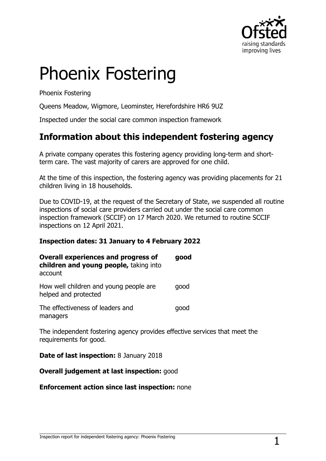

# Phoenix Fostering

Phoenix Fostering

Queens Meadow, Wigmore, Leominster, Herefordshire HR6 9UZ

Inspected under the social care common inspection framework

## **Information about this independent fostering agency**

A private company operates this fostering agency providing long-term and shortterm care. The vast majority of carers are approved for one child.

At the time of this inspection, the fostering agency was providing placements for 21 children living in 18 households.

Due to COVID-19, at the request of the Secretary of State, we suspended all routine inspections of social care providers carried out under the social care common inspection framework (SCCIF) on 17 March 2020. We returned to routine SCCIF inspections on 12 April 2021.

#### **Inspection dates: 31 January to 4 February 2022**

| <b>Overall experiences and progress of</b><br>children and young people, taking into<br>account | good |
|-------------------------------------------------------------------------------------------------|------|
| How well children and young people are<br>helped and protected                                  | qood |
| The effectiveness of leaders and<br>managers                                                    | qood |
| The independent fostering agency provides effective serv                                        |      |

The independent fostering agency provides effective services that meet the requirements for good.

**Date of last inspection:** 8 January 2018

#### **Overall judgement at last inspection:** good

#### **Enforcement action since last inspection:** none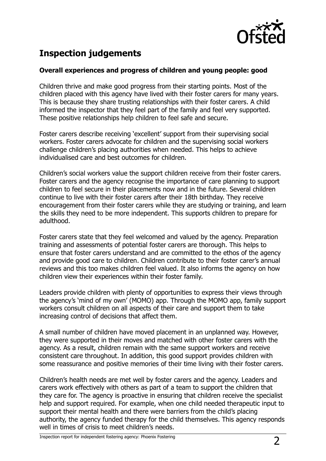

# **Inspection judgements**

#### **Overall experiences and progress of children and young people: good**

Children thrive and make good progress from their starting points. Most of the children placed with this agency have lived with their foster carers for many years. This is because they share trusting relationships with their foster carers. A child informed the inspector that they feel part of the family and feel very supported. These positive relationships help children to feel safe and secure.

Foster carers describe receiving 'excellent' support from their supervising social workers. Foster carers advocate for children and the supervising social workers challenge children's placing authorities when needed. This helps to achieve individualised care and best outcomes for children.

Children's social workers value the support children receive from their foster carers. Foster carers and the agency recognise the importance of care planning to support children to feel secure in their placements now and in the future. Several children continue to live with their foster carers after their 18th birthday. They receive encouragement from their foster carers while they are studying or training, and learn the skills they need to be more independent. This supports children to prepare for adulthood.

Foster carers state that they feel welcomed and valued by the agency. Preparation training and assessments of potential foster carers are thorough. This helps to ensure that foster carers understand and are committed to the ethos of the agency and provide good care to children. Children contribute to their foster carer's annual reviews and this too makes children feel valued. It also informs the agency on how children view their experiences within their foster family.

Leaders provide children with plenty of opportunities to express their views through the agency's 'mind of my own' (MOMO) app. Through the MOMO app, family support workers consult children on all aspects of their care and support them to take increasing control of decisions that affect them.

A small number of children have moved placement in an unplanned way. However, they were supported in their moves and matched with other foster carers with the agency. As a result, children remain with the same support workers and receive consistent care throughout. In addition, this good support provides children with some reassurance and positive memories of their time living with their foster carers.

Children's health needs are met well by foster carers and the agency. Leaders and carers work effectively with others as part of a team to support the children that they care for. The agency is proactive in ensuring that children receive the specialist help and support required. For example, when one child needed therapeutic input to support their mental health and there were barriers from the child's placing authority, the agency funded therapy for the child themselves. This agency responds well in times of crisis to meet children's needs.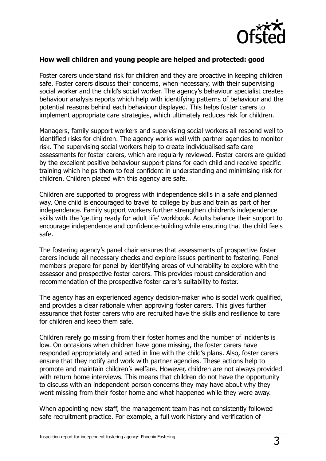

#### **How well children and young people are helped and protected: good**

Foster carers understand risk for children and they are proactive in keeping children safe. Foster carers discuss their concerns, when necessary, with their supervising social worker and the child's social worker. The agency's behaviour specialist creates behaviour analysis reports which help with identifying patterns of behaviour and the potential reasons behind each behaviour displayed. This helps foster carers to implement appropriate care strategies, which ultimately reduces risk for children.

Managers, family support workers and supervising social workers all respond well to identified risks for children. The agency works well with partner agencies to monitor risk. The supervising social workers help to create individualised safe care assessments for foster carers, which are regularly reviewed. Foster carers are guided by the excellent positive behaviour support plans for each child and receive specific training which helps them to feel confident in understanding and minimising risk for children. Children placed with this agency are safe.

Children are supported to progress with independence skills in a safe and planned way. One child is encouraged to travel to college by bus and train as part of her independence. Family support workers further strengthen children's independence skills with the 'getting ready for adult life' workbook. Adults balance their support to encourage independence and confidence-building while ensuring that the child feels safe.

The fostering agency's panel chair ensures that assessments of prospective foster carers include all necessary checks and explore issues pertinent to fostering. Panel members prepare for panel by identifying areas of vulnerability to explore with the assessor and prospective foster carers. This provides robust consideration and recommendation of the prospective foster carer's suitability to foster.

The agency has an experienced agency decision-maker who is social work qualified, and provides a clear rationale when approving foster carers. This gives further assurance that foster carers who are recruited have the skills and resilience to care for children and keep them safe.

Children rarely go missing from their foster homes and the number of incidents is low. On occasions when children have gone missing, the foster carers have responded appropriately and acted in line with the child's plans. Also, foster carers ensure that they notify and work with partner agencies. These actions help to promote and maintain children's welfare. However, children are not always provided with return home interviews. This means that children do not have the opportunity to discuss with an independent person concerns they may have about why they went missing from their foster home and what happened while they were away.

When appointing new staff, the management team has not consistently followed safe recruitment practice. For example, a full work history and verification of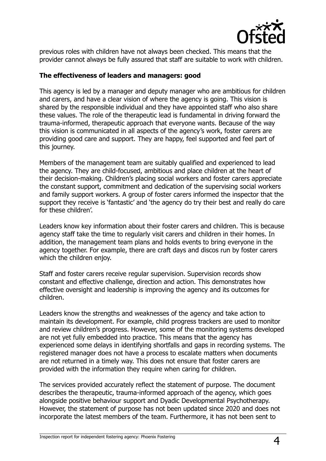

previous roles with children have not always been checked. This means that the provider cannot always be fully assured that staff are suitable to work with children.

#### **The effectiveness of leaders and managers: good**

This agency is led by a manager and deputy manager who are ambitious for children and carers, and have a clear vision of where the agency is going. This vision is shared by the responsible individual and they have appointed staff who also share these values. The role of the therapeutic lead is fundamental in driving forward the trauma-informed, therapeutic approach that everyone wants. Because of the way this vision is communicated in all aspects of the agency's work, foster carers are providing good care and support. They are happy, feel supported and feel part of this journey.

Members of the management team are suitably qualified and experienced to lead the agency. They are child-focused, ambitious and place children at the heart of their decision-making. Children's placing social workers and foster carers appreciate the constant support, commitment and dedication of the supervising social workers and family support workers. A group of foster carers informed the inspector that the support they receive is 'fantastic' and 'the agency do try their best and really do care for these children'.

Leaders know key information about their foster carers and children. This is because agency staff take the time to regularly visit carers and children in their homes. In addition, the management team plans and holds events to bring everyone in the agency together. For example, there are craft days and discos run by foster carers which the children enjoy.

Staff and foster carers receive regular supervision. Supervision records show constant and effective challenge, direction and action. This demonstrates how effective oversight and leadership is improving the agency and its outcomes for children.

Leaders know the strengths and weaknesses of the agency and take action to maintain its development. For example, child progress trackers are used to monitor and review children's progress. However, some of the monitoring systems developed are not yet fully embedded into practice. This means that the agency has experienced some delays in identifying shortfalls and gaps in recording systems. The registered manager does not have a process to escalate matters when documents are not returned in a timely way. This does not ensure that foster carers are provided with the information they require when caring for children.

The services provided accurately reflect the statement of purpose. The document describes the therapeutic, trauma-informed approach of the agency, which goes alongside positive behaviour support and Dyadic Developmental Psychotherapy. However, the statement of purpose has not been updated since 2020 and does not incorporate the latest members of the team. Furthermore, it has not been sent to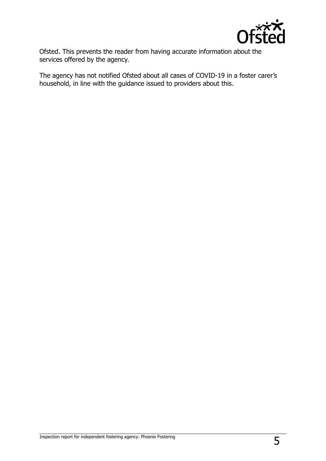

Ofsted. This prevents the reader from having accurate information about the services offered by the agency.

The agency has not notified Ofsted about all cases of COVID-19 in a foster carer's household, in line with the guidance issued to providers about this.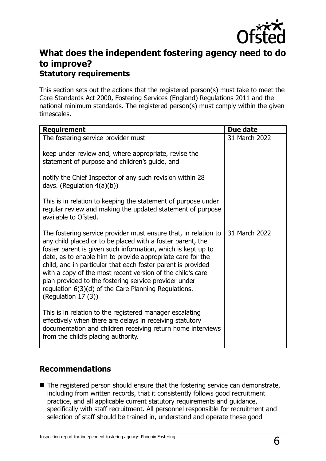

## **What does the independent fostering agency need to do to improve? Statutory requirements**

This section sets out the actions that the registered person(s) must take to meet the Care Standards Act 2000, Fostering Services (England) Regulations 2011 and the national minimum standards. The registered person(s) must comply within the given timescales.

| <b>Requirement</b>                                                                                                                                                                                                                                                                                                                                                                                                                                                                                                                  | Due date      |
|-------------------------------------------------------------------------------------------------------------------------------------------------------------------------------------------------------------------------------------------------------------------------------------------------------------------------------------------------------------------------------------------------------------------------------------------------------------------------------------------------------------------------------------|---------------|
| The fostering service provider must-                                                                                                                                                                                                                                                                                                                                                                                                                                                                                                | 31 March 2022 |
| keep under review and, where appropriate, revise the<br>statement of purpose and children's guide, and                                                                                                                                                                                                                                                                                                                                                                                                                              |               |
| notify the Chief Inspector of any such revision within 28<br>days. (Regulation $4(a)(b)$ )                                                                                                                                                                                                                                                                                                                                                                                                                                          |               |
| This is in relation to keeping the statement of purpose under<br>regular review and making the updated statement of purpose<br>available to Ofsted.                                                                                                                                                                                                                                                                                                                                                                                 |               |
| The fostering service provider must ensure that, in relation to<br>any child placed or to be placed with a foster parent, the<br>foster parent is given such information, which is kept up to<br>date, as to enable him to provide appropriate care for the<br>child, and in particular that each foster parent is provided<br>with a copy of the most recent version of the child's care<br>plan provided to the fostering service provider under<br>regulation 6(3)(d) of the Care Planning Regulations.<br>(Regulation $17(3)$ ) | 31 March 2022 |
| This is in relation to the registered manager escalating<br>effectively when there are delays in receiving statutory<br>documentation and children receiving return home interviews<br>from the child's placing authority.                                                                                                                                                                                                                                                                                                          |               |

### **Recommendations**

■ The registered person should ensure that the fostering service can demonstrate, including from written records, that it consistently follows good recruitment practice, and all applicable current statutory requirements and guidance, specifically with staff recruitment. All personnel responsible for recruitment and selection of staff should be trained in, understand and operate these good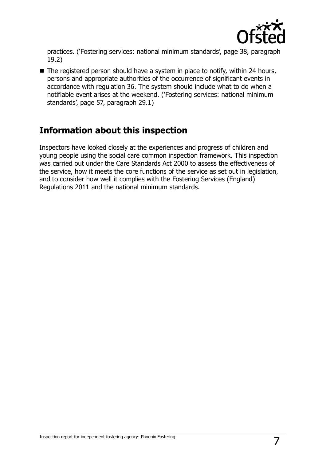

practices. ('Fostering services: national minimum standards', page 38, paragraph 19.2)

■ The registered person should have a system in place to notify, within 24 hours, persons and appropriate authorities of the occurrence of significant events in accordance with regulation 36. The system should include what to do when a notifiable event arises at the weekend. ('Fostering services: national minimum standards', page 57, paragraph 29.1)

## **Information about this inspection**

Inspectors have looked closely at the experiences and progress of children and young people using the social care common inspection framework. This inspection was carried out under the Care Standards Act 2000 to assess the effectiveness of the service, how it meets the core functions of the service as set out in legislation, and to consider how well it complies with the Fostering Services (England) Regulations 2011 and the national minimum standards.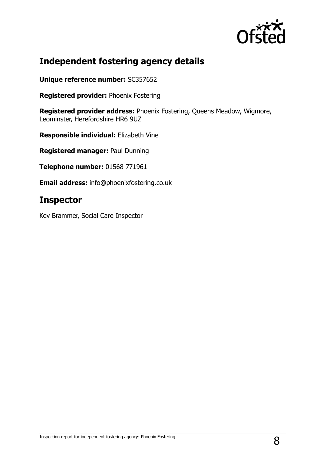

# **Independent fostering agency details**

**Unique reference number:** SC357652

**Registered provider:** Phoenix Fostering

**Registered provider address:** Phoenix Fostering, Queens Meadow, Wigmore, Leominster, Herefordshire HR6 9UZ

**Responsible individual:** Elizabeth Vine

**Registered manager:** Paul Dunning

**Telephone number:** 01568 771961

**Email address:** info@phoenixfostering.co.uk

## **Inspector**

Kev Brammer, Social Care Inspector